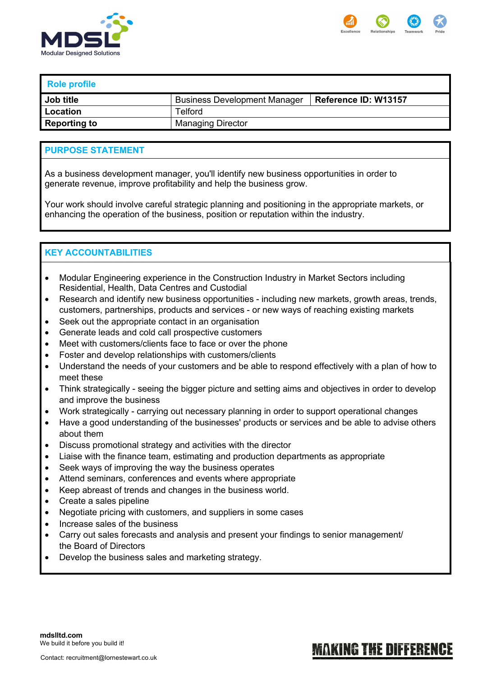



# **Role profile**

| Job title           | <b>Business Development Manager</b> | Reference ID: W13157 |
|---------------------|-------------------------------------|----------------------|
| Location            | Telford                             |                      |
| <b>Reporting to</b> | <b>Managing Director</b>            |                      |

### **PURPOSE STATEMENT**

As a business development manager, you'll identify new business opportunities in order to generate revenue, improve profitability and help the business grow.

Your work should involve careful strategic planning and positioning in the appropriate markets, or enhancing the operation of the business, position or reputation within the industry.

# **KEY ACCOUNTABILITIES**

- Modular Engineering experience in the Construction Industry in Market Sectors including Residential, Health, Data Centres and Custodial
- Research and identify new business opportunities including new markets, growth areas, trends, customers, partnerships, products and services - or new ways of reaching existing markets
- Seek out the appropriate contact in an organisation
- Generate leads and cold call prospective customers
- Meet with customers/clients face to face or over the phone
- Foster and develop relationships with customers/clients
- Understand the needs of your customers and be able to respond effectively with a plan of how to meet these
- Think strategically seeing the bigger picture and setting aims and objectives in order to develop and improve the business
- Work strategically carrying out necessary planning in order to support operational changes
- Have a good understanding of the businesses' products or services and be able to advise others about them
- Discuss promotional strategy and activities with the director
- Liaise with the finance team, estimating and production departments as appropriate
- Seek ways of improving the way the business operates
- Attend seminars, conferences and events where appropriate
- Keep abreast of trends and changes in the business world.
- Create a sales pipeline
- Negotiate pricing with customers, and suppliers in some cases
- Increase sales of the business
- Carry out sales forecasts and analysis and present your findings to senior management/ the Board of Directors
- Develop the business sales and marketing strategy.

#### Contact: recruitment@lornestewart.co.uk

# **MAKING THE DIFFERENCE**